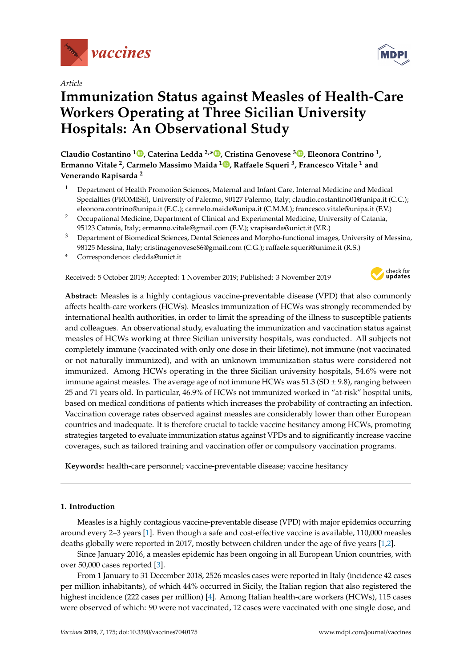

*Article*

# **Immunization Status against Measles of Health-Care Workers Operating at Three Sicilian University Hospitals: An Observational Study**

**Claudio Costantino <sup>1</sup> [,](https://orcid.org/0000-0002-3397-7331) Caterina Ledda 2,[\\*](https://orcid.org/0000-0003-0739-8798) , Cristina Genovese <sup>3</sup> [,](https://orcid.org/0000-0001-9282-1030) Eleonora Contrino <sup>1</sup> , Ermanno Vitale <sup>2</sup> , Carmelo Massimo Maida <sup>1</sup> [,](https://orcid.org/0000-0002-6989-9259) Ra**ff**aele Squeri <sup>3</sup> , Francesco Vitale <sup>1</sup> and Venerando Rapisarda <sup>2</sup>**

- <sup>1</sup> Department of Health Promotion Sciences, Maternal and Infant Care, Internal Medicine and Medical Specialties (PROMISE), University of Palermo, 90127 Palermo, Italy; claudio.costantino01@unipa.it (C.C.); eleonora.contrino@unipa.it (E.C.); carmelo.maida@unipa.it (C.M.M.); francesco.vitale@unipa.it (F.V.)
- <sup>2</sup> Occupational Medicine, Department of Clinical and Experimental Medicine, University of Catania, 95123 Catania, Italy; ermanno.vitale@gmail.com (E.V.); vrapisarda@unict.it (V.R.)
- <sup>3</sup> Department of Biomedical Sciences, Dental Sciences and Morpho-functional images, University of Messina, 98125 Messina, Italy; cristinagenovese86@gmail.com (C.G.); raffaele.squeri@unime.it (R.S.)
- **\*** Correspondence: cledda@unict.it

Received: 5 October 2019; Accepted: 1 November 2019; Published: 3 November 2019



**Abstract:** Measles is a highly contagious vaccine-preventable disease (VPD) that also commonly affects health-care workers (HCWs). Measles immunization of HCWs was strongly recommended by international health authorities, in order to limit the spreading of the illness to susceptible patients and colleagues. An observational study, evaluating the immunization and vaccination status against measles of HCWs working at three Sicilian university hospitals, was conducted. All subjects not completely immune (vaccinated with only one dose in their lifetime), not immune (not vaccinated or not naturally immunized), and with an unknown immunization status were considered not immunized. Among HCWs operating in the three Sicilian university hospitals, 54.6% were not immune against measles. The average age of not immune HCWs was  $51.3$  (SD  $\pm$  9.8), ranging between 25 and 71 years old. In particular, 46.9% of HCWs not immunized worked in "at-risk" hospital units, based on medical conditions of patients which increases the probability of contracting an infection. Vaccination coverage rates observed against measles are considerably lower than other European countries and inadequate. It is therefore crucial to tackle vaccine hesitancy among HCWs, promoting strategies targeted to evaluate immunization status against VPDs and to significantly increase vaccine coverages, such as tailored training and vaccination offer or compulsory vaccination programs.

**Keywords:** health-care personnel; vaccine-preventable disease; vaccine hesitancy

## **1. Introduction**

Measles is a highly contagious vaccine-preventable disease (VPD) with major epidemics occurring around every 2–3 years [\[1\]](#page-6-0). Even though a safe and cost-effective vaccine is available, 110,000 measles deaths globally were reported in 2017, mostly between children under the age of five years [\[1](#page-6-0)[,2\]](#page-6-1).

Since January 2016, a measles epidemic has been ongoing in all European Union countries, with over 50,000 cases reported [\[3\]](#page-6-2).

From 1 January to 31 December 2018, 2526 measles cases were reported in Italy (incidence 42 cases per million inhabitants), of which 44% occurred in Sicily, the Italian region that also registered the highest incidence (222 cases per million) [\[4\]](#page-6-3). Among Italian health-care workers (HCWs), 115 cases were observed of which: 90 were not vaccinated, 12 cases were vaccinated with one single dose, and

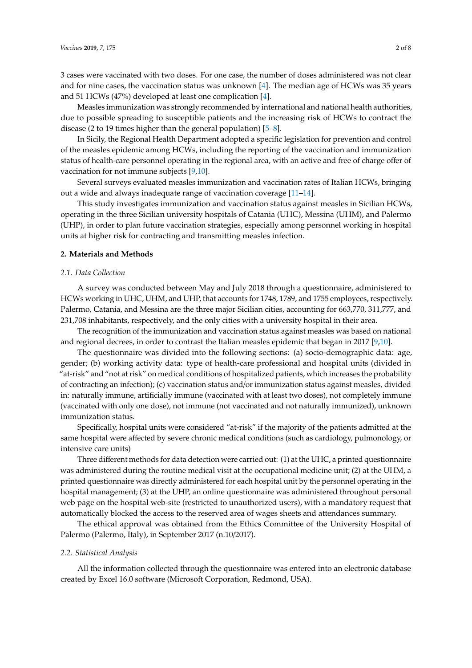3 cases were vaccinated with two doses. For one case, the number of doses administered was not clear and for nine cases, the vaccination status was unknown [\[4\]](#page-6-3). The median age of HCWs was 35 years and 51 HCWs (47%) developed at least one complication [\[4\]](#page-6-3).

Measles immunization was strongly recommended by international and national health authorities, due to possible spreading to susceptible patients and the increasing risk of HCWs to contract the disease (2 to 19 times higher than the general population) [\[5–](#page-6-4)[8\]](#page-6-5).

In Sicily, the Regional Health Department adopted a specific legislation for prevention and control of the measles epidemic among HCWs, including the reporting of the vaccination and immunization status of health-care personnel operating in the regional area, with an active and free of charge offer of vaccination for not immune subjects [\[9,](#page-6-6)[10\]](#page-6-7).

Several surveys evaluated measles immunization and vaccination rates of Italian HCWs, bringing out a wide and always inadequate range of vaccination coverage [\[11](#page-6-8)[–14\]](#page-6-9).

This study investigates immunization and vaccination status against measles in Sicilian HCWs, operating in the three Sicilian university hospitals of Catania (UHC), Messina (UHM), and Palermo (UHP), in order to plan future vaccination strategies, especially among personnel working in hospital units at higher risk for contracting and transmitting measles infection.

### **2. Materials and Methods**

#### *2.1. Data Collection*

A survey was conducted between May and July 2018 through a questionnaire, administered to HCWs working in UHC, UHM, and UHP, that accounts for 1748, 1789, and 1755 employees, respectively. Palermo, Catania, and Messina are the three major Sicilian cities, accounting for 663,770, 311,777, and 231,708 inhabitants, respectively, and the only cities with a university hospital in their area.

The recognition of the immunization and vaccination status against measles was based on national and regional decrees, in order to contrast the Italian measles epidemic that began in 2017 [\[9](#page-6-6)[,10\]](#page-6-7).

The questionnaire was divided into the following sections: (a) socio-demographic data: age, gender; (b) working activity data: type of health-care professional and hospital units (divided in "at-risk" and "not at risk" on medical conditions of hospitalized patients, which increases the probability of contracting an infection); (c) vaccination status and/or immunization status against measles, divided in: naturally immune, artificially immune (vaccinated with at least two doses), not completely immune (vaccinated with only one dose), not immune (not vaccinated and not naturally immunized), unknown immunization status.

Specifically, hospital units were considered "at-risk" if the majority of the patients admitted at the same hospital were affected by severe chronic medical conditions (such as cardiology, pulmonology, or intensive care units)

Three different methods for data detection were carried out: (1) at the UHC, a printed questionnaire was administered during the routine medical visit at the occupational medicine unit; (2) at the UHM, a printed questionnaire was directly administered for each hospital unit by the personnel operating in the hospital management; (3) at the UHP, an online questionnaire was administered throughout personal web page on the hospital web-site (restricted to unauthorized users), with a mandatory request that automatically blocked the access to the reserved area of wages sheets and attendances summary.

The ethical approval was obtained from the Ethics Committee of the University Hospital of Palermo (Palermo, Italy), in September 2017 (n.10/2017).

#### *2.2. Statistical Analysis*

All the information collected through the questionnaire was entered into an electronic database created by Excel 16.0 software (Microsoft Corporation, Redmond, USA).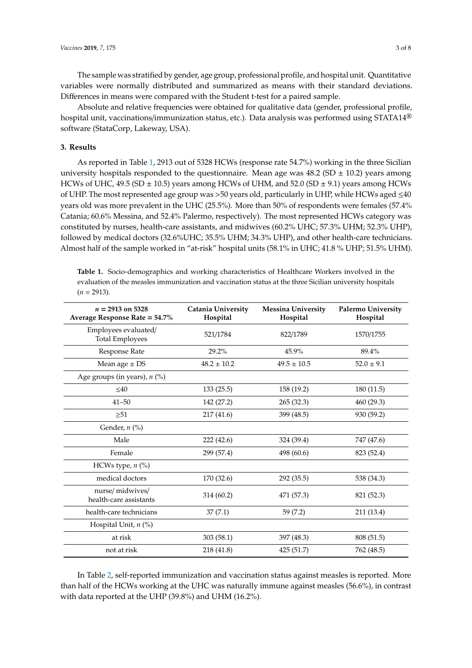The sample was stratified by gender, age group, professional profile, and hospital unit. Quantitative variables were normally distributed and summarized as means with their standard deviations. Differences in means were compared with the Student t-test for a paired sample.

Absolute and relative frequencies were obtained for qualitative data (gender, professional profile, hospital unit, vaccinations/immunization status, etc.). Data analysis was performed using STATA14<sup>®</sup> software (StataCorp, Lakeway, USA).

## **3. Results**

As reported in Table [1,](#page-2-0) 2913 out of 5328 HCWs (response rate 54.7%) working in the three Sicilian university hospitals responded to the questionnaire. Mean age was  $48.2$  (SD  $\pm$  10.2) years among HCWs of UHC, 49.5 (SD  $\pm$  10.5) years among HCWs of UHM, and 52.0 (SD  $\pm$  9.1) years among HCWs of UHP. The most represented age group was >50 years old, particularly in UHP, while HCWs aged ≤40 years old was more prevalent in the UHC (25.5%). More than 50% of respondents were females (57.4% Catania; 60.6% Messina, and 52.4% Palermo, respectively). The most represented HCWs category was constituted by nurses, health-care assistants, and midwives (60.2% UHC; 57.3% UHM; 52.3% UHP), followed by medical doctors (32.6%UHC; 35.5% UHM; 34.3% UHP), and other health-care technicians. Almost half of the sample worked in "at-risk" hospital units (58.1% in UHC; 41.8 % UHP; 51.5% UHM).

| $n = 2913$ on 5328<br>Average Response Rate = 54.7% | Catania University<br>Hospital | <b>Messina University</b><br>Hospital | <b>Palermo University</b><br>Hospital |  |
|-----------------------------------------------------|--------------------------------|---------------------------------------|---------------------------------------|--|
| Employees evaluated/<br><b>Total Employees</b>      | 521/1784                       | 822/1789                              | 1570/1755                             |  |
| Response Rate                                       | 29.2%                          | 45.9%                                 | 89.4%                                 |  |
| Mean age $\pm$ DS                                   | $48.2 \pm 10.2$                | $49.5 \pm 10.5$                       | $52.0 \pm 9.1$                        |  |
| Age groups (in years), $n$ (%)                      |                                |                                       |                                       |  |
| $\leq 40$                                           | 133(25.5)                      | 158 (19.2)                            | 180 (11.5)                            |  |
| $41 - 50$                                           | 142 (27.2)                     | 265(32.3)                             | 460 (29.3)                            |  |
| $\geq 51$                                           | 217(41.6)                      | 399 (48.5)                            | 930 (59.2)                            |  |
| Gender, n (%)                                       |                                |                                       |                                       |  |
| Male                                                | 222 (42.6)                     | 324 (39.4)                            | 747 (47.6)                            |  |
| Female                                              | 299 (57.4)                     | 498 (60.6)                            | 823 (52.4)                            |  |
| HCWs type, $n$ (%)                                  |                                |                                       |                                       |  |
| medical doctors                                     | 170 (32.6)                     | 292 (35.5)                            | 538 (34.3)                            |  |
| nurse/midwives/<br>health-care assistants           | 314 (60.2)                     | 471 (57.3)                            | 821 (52.3)                            |  |
| health-care technicians                             | 37(7.1)                        | 59 (7.2)                              | 211 (13.4)                            |  |
| Hospital Unit, $n$ (%)                              |                                |                                       |                                       |  |
| at risk                                             | 303 (58.1)                     | 397 (48.3)                            | 808 (51.5)                            |  |
| not at risk                                         | 218 (41.8)                     | 425 (51.7)                            | 762 (48.5)                            |  |

<span id="page-2-0"></span>**Table 1.** Socio-demographics and working characteristics of Healthcare Workers involved in the evaluation of the measles immunization and vaccination status at the three Sicilian university hospitals  $(n = 2913)$ .

In Table [2,](#page-3-0) self-reported immunization and vaccination status against measles is reported. More than half of the HCWs working at the UHC was naturally immune against measles (56.6%), in contrast with data reported at the UHP (39.8%) and UHM (16.2%).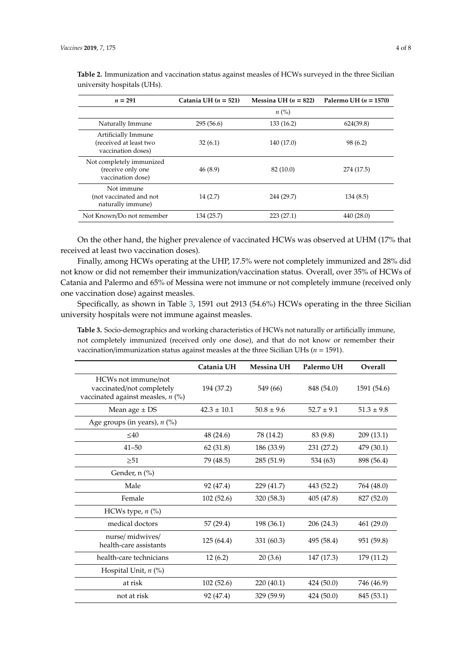| $n = 291$                                                           | Catania UH $(n = 521)$ | Messina UH $(n = 822)$ | Palermo UH $(n = 1570)$ |
|---------------------------------------------------------------------|------------------------|------------------------|-------------------------|
|                                                                     |                        | $n\ (\%)$              |                         |
| Naturally Immune                                                    | 295 (56.6)             | 133 (16.2)             | 624(39.8)               |
| Artificially Immune<br>(received at least two<br>vaccination doses) | 32(6.1)                | 140 (17.0)             | 98 (6.2)                |
| Not completely immunized<br>(receive only one<br>vaccination dose)  | 46(8.9)                | 82 (10.0)              | 274 (17.5)              |
| Not immune.<br>(not vaccinated and not<br>naturally immune)         | 14(2.7)                | 244 (29.7)             | 134(8.5)                |
| Not Known/Do not remember                                           | 134 (25.7)             | 223(27.1)              | 440 (28.0)              |

<span id="page-3-0"></span>**Table 2.** Immunization and vaccination status against measles of HCWs surveyed in the three Sicilian university hospitals (UHs).

On the other hand, the higher prevalence of vaccinated HCWs was observed at UHM (17% that received at least two vaccination doses).

Finally, among HCWs operating at the UHP, 17.5% were not completely immunized and 28% did not know or did not remember their immunization/vaccination status. Overall, over 35% of HCWs of Catania and Palermo and 65% of Messina were not immune or not completely immune (received only one vaccination dose) against measles.

Specifically, as shown in Table [3,](#page-3-1) 1591 out 2913 (54.6%) HCWs operating in the three Sicilian university hospitals were not immune against measles.

<span id="page-3-1"></span>**Table 3.** Socio-demographics and working characteristics of HCWs not naturally or artificially immune, not completely immunized (received only one dose), and that do not know or remember their vaccination/immunization status against measles at the three Sicilian UHs (*n* = 1591).

|                                                                                         | Catania UH      | Messina UH     | Palermo UH     | <b>Overall</b> |
|-----------------------------------------------------------------------------------------|-----------------|----------------|----------------|----------------|
| HCWs not immune/not<br>vaccinated/not completely<br>vaccinated against measles, $n$ (%) | 194 (37.2)      | 549 (66)       | 848 (54.0)     | 1591 (54.6)    |
| Mean age $\pm$ DS                                                                       | $42.3 \pm 10.1$ | $50.8 \pm 9.6$ | $52.7 \pm 9.1$ | $51.3 \pm 9.8$ |
| Age groups (in years), $n$ (%)                                                          |                 |                |                |                |
| $<$ 40                                                                                  | 48 (24.6)       | 78 (14.2)      | 83 (9.8)       | 209(13.1)      |
| $41 - 50$                                                                               | 62(31.8)        | 186 (33.9)     | 231 (27.2)     | 479 (30.1)     |
| >51                                                                                     | 79 (48.5)       | 285 (51.9)     | 534 (63)       | 898 (56.4)     |
| Gender, $n$ $\left(\% \right)$                                                          |                 |                |                |                |
| Male                                                                                    | 92 (47.4)       | 229 (41.7)     | 443 (52.2)     | 764 (48.0)     |
| Female                                                                                  | 102 (52.6)      | 320 (58.3)     | 405 (47.8)     | 827 (52.0)     |
| HCWs type, $n$ (%)                                                                      |                 |                |                |                |
| medical doctors                                                                         | 57 (29.4)       | 198 (36.1)     | 206 (24.3)     | 461 (29.0)     |
| nurse/midwives/<br>health-care assistants                                               | 125 (64.4)      | 331 (60.3)     | 495 (58.4)     | 951 (59.8)     |
| health-care technicians                                                                 | 12(6.2)         | 20(3.6)        | 147 (17.3)     | 179 (11.2)     |
| Hospital Unit, $n$ (%)                                                                  |                 |                |                |                |
| at risk                                                                                 | 102 (52.6)      | 220 (40.1)     | 424 (50.0)     | 746 (46.9)     |
| not at risk                                                                             | 92 (47.4)       | 329 (59.9)     | 424 (50.0)     | 845 (53.1)     |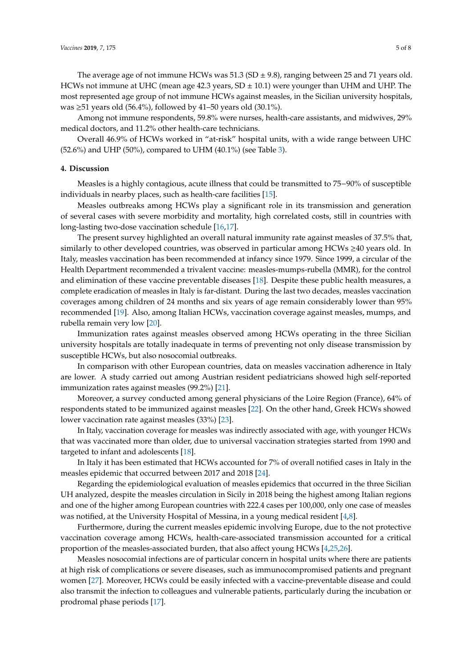The average age of not immune HCWs was  $51.3$  (SD  $\pm$  9.8), ranging between 25 and 71 years old. HCWs not immune at UHC (mean age 42.3 years,  $SD \pm 10.1$ ) were younger than UHM and UHP. The most represented age group of not immune HCWs against measles, in the Sicilian university hospitals, was ≥51 years old  $(56.4%)$ , followed by 41–50 years old  $(30.1%)$ .

Among not immune respondents, 59.8% were nurses, health-care assistants, and midwives, 29% medical doctors, and 11.2% other health-care technicians.

Overall 46.9% of HCWs worked in "at-risk" hospital units, with a wide range between UHC (52.6%) and UHP (50%), compared to UHM (40.1%) (see Table [3\)](#page-3-1).

## **4. Discussion**

Measles is a highly contagious, acute illness that could be transmitted to 75−90% of susceptible individuals in nearby places, such as health-care facilities [\[15\]](#page-6-10).

Measles outbreaks among HCWs play a significant role in its transmission and generation of several cases with severe morbidity and mortality, high correlated costs, still in countries with long-lasting two-dose vaccination schedule [\[16,](#page-6-11)[17\]](#page-6-12).

The present survey highlighted an overall natural immunity rate against measles of 37.5% that, similarly to other developed countries, was observed in particular among  $HCWs \geq 40$  years old. In Italy, measles vaccination has been recommended at infancy since 1979. Since 1999, a circular of the Health Department recommended a trivalent vaccine: measles-mumps-rubella (MMR), for the control and elimination of these vaccine preventable diseases [\[18\]](#page-6-13). Despite these public health measures, a complete eradication of measles in Italy is far-distant. During the last two decades, measles vaccination coverages among children of 24 months and six years of age remain considerably lower than 95% recommended [\[19\]](#page-6-14). Also, among Italian HCWs, vaccination coverage against measles, mumps, and rubella remain very low [\[20\]](#page-6-15).

Immunization rates against measles observed among HCWs operating in the three Sicilian university hospitals are totally inadequate in terms of preventing not only disease transmission by susceptible HCWs, but also nosocomial outbreaks.

In comparison with other European countries, data on measles vaccination adherence in Italy are lower. A study carried out among Austrian resident pediatricians showed high self-reported immunization rates against measles (99.2%) [\[21\]](#page-6-16).

Moreover, a survey conducted among general physicians of the Loire Region (France), 64% of respondents stated to be immunized against measles [\[22\]](#page-7-0). On the other hand, Greek HCWs showed lower vaccination rate against measles (33%) [\[23\]](#page-7-1).

In Italy, vaccination coverage for measles was indirectly associated with age, with younger HCWs that was vaccinated more than older, due to universal vaccination strategies started from 1990 and targeted to infant and adolescents [\[18\]](#page-6-13).

In Italy it has been estimated that HCWs accounted for 7% of overall notified cases in Italy in the measles epidemic that occurred between 2017 and 2018 [\[24\]](#page-7-2).

Regarding the epidemiological evaluation of measles epidemics that occurred in the three Sicilian UH analyzed, despite the measles circulation in Sicily in 2018 being the highest among Italian regions and one of the higher among European countries with 222.4 cases per 100,000, only one case of measles was notified, at the University Hospital of Messina, in a young medical resident [\[4](#page-6-3)[,8\]](#page-6-5).

Furthermore, during the current measles epidemic involving Europe, due to the not protective vaccination coverage among HCWs, health-care-associated transmission accounted for a critical proportion of the measles-associated burden, that also affect young HCWs [\[4](#page-6-3)[,25,](#page-7-3)[26\]](#page-7-4).

Measles nosocomial infections are of particular concern in hospital units where there are patients at high risk of complications or severe diseases, such as immunocompromised patients and pregnant women [\[27\]](#page-7-5). Moreover, HCWs could be easily infected with a vaccine-preventable disease and could also transmit the infection to colleagues and vulnerable patients, particularly during the incubation or prodromal phase periods [\[17\]](#page-6-12).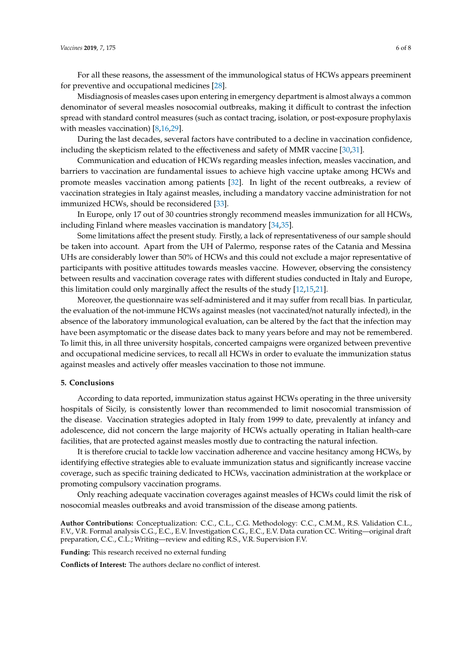For all these reasons, the assessment of the immunological status of HCWs appears preeminent for preventive and occupational medicines [\[28\]](#page-7-6).

Misdiagnosis of measles cases upon entering in emergency department is almost always a common denominator of several measles nosocomial outbreaks, making it difficult to contrast the infection spread with standard control measures (such as contact tracing, isolation, or post-exposure prophylaxis with measles vaccination) [\[8,](#page-6-5)[16,](#page-6-11)[29\]](#page-7-7).

During the last decades, several factors have contributed to a decline in vaccination confidence, including the skepticism related to the effectiveness and safety of MMR vaccine [\[30,](#page-7-8)[31\]](#page-7-9).

Communication and education of HCWs regarding measles infection, measles vaccination, and barriers to vaccination are fundamental issues to achieve high vaccine uptake among HCWs and promote measles vaccination among patients [\[32\]](#page-7-10). In light of the recent outbreaks, a review of vaccination strategies in Italy against measles, including a mandatory vaccine administration for not immunized HCWs, should be reconsidered [\[33\]](#page-7-11).

In Europe, only 17 out of 30 countries strongly recommend measles immunization for all HCWs, including Finland where measles vaccination is mandatory [\[34,](#page-7-12)[35\]](#page-7-13).

Some limitations affect the present study. Firstly, a lack of representativeness of our sample should be taken into account. Apart from the UH of Palermo, response rates of the Catania and Messina UHs are considerably lower than 50% of HCWs and this could not exclude a major representative of participants with positive attitudes towards measles vaccine. However, observing the consistency between results and vaccination coverage rates with different studies conducted in Italy and Europe, this limitation could only marginally affect the results of the study [\[12,](#page-6-17)[15,](#page-6-10)[21\]](#page-6-16).

Moreover, the questionnaire was self-administered and it may suffer from recall bias. In particular, the evaluation of the not-immune HCWs against measles (not vaccinated/not naturally infected), in the absence of the laboratory immunological evaluation, can be altered by the fact that the infection may have been asymptomatic or the disease dates back to many years before and may not be remembered. To limit this, in all three university hospitals, concerted campaigns were organized between preventive and occupational medicine services, to recall all HCWs in order to evaluate the immunization status against measles and actively offer measles vaccination to those not immune.

## **5. Conclusions**

According to data reported, immunization status against HCWs operating in the three university hospitals of Sicily, is consistently lower than recommended to limit nosocomial transmission of the disease. Vaccination strategies adopted in Italy from 1999 to date, prevalently at infancy and adolescence, did not concern the large majority of HCWs actually operating in Italian health-care facilities, that are protected against measles mostly due to contracting the natural infection.

It is therefore crucial to tackle low vaccination adherence and vaccine hesitancy among HCWs, by identifying effective strategies able to evaluate immunization status and significantly increase vaccine coverage, such as specific training dedicated to HCWs, vaccination administration at the workplace or promoting compulsory vaccination programs.

Only reaching adequate vaccination coverages against measles of HCWs could limit the risk of nosocomial measles outbreaks and avoid transmission of the disease among patients.

**Author Contributions:** Conceptualization: C.C., C.L., C.G. Methodology: C.C., C.M.M., R.S. Validation C.L., F.V., V.R. Formal analysis C.G., E.C., E.V. Investigation C.G., E.C., E.V. Data curation CC. Writing—original draft preparation, C.C., C.L.; Writing—review and editing R.S., V.R. Supervision F.V.

**Funding:** This research received no external funding

**Conflicts of Interest:** The authors declare no conflict of interest.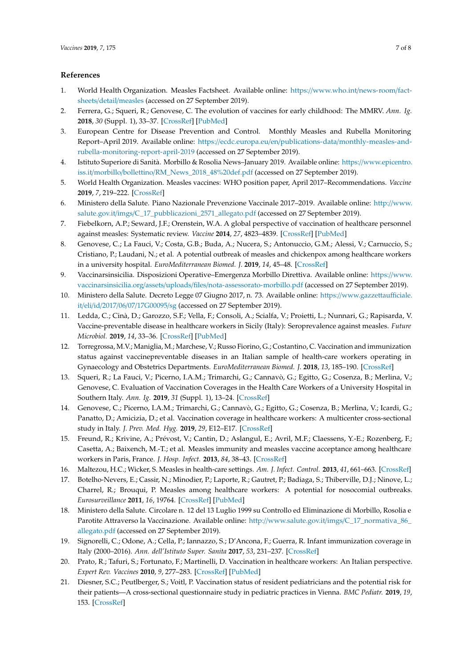# **References**

- <span id="page-6-0"></span>1. World Health Organization. Measles Factsheet. Available online: https://[www.who.int](https://www.who.int/news-room/fact-sheets/detail/measles)/news-room/factsheets/detail/[measles](https://www.who.int/news-room/fact-sheets/detail/measles) (accessed on 27 September 2019).
- <span id="page-6-1"></span>2. Ferrera, G.; Squeri, R.; Genovese, C. The evolution of vaccines for early childhood: The MMRV. *Ann. Ig.* **2018**, *30* (Suppl. 1), 33–37. [\[CrossRef\]](http://dx.doi.org/10.7416/ai.2018.2232) [\[PubMed\]](http://www.ncbi.nlm.nih.gov/pubmed/30062378)
- <span id="page-6-2"></span>3. European Centre for Disease Prevention and Control. Monthly Measles and Rubella Monitoring Report–April 2019. Available online: https://ecdc.europa.eu/en/publications-data/[monthly-measles-and](https://ecdc.europa.eu/en/publications-data/monthly-measles-and-rubella-monitoring-report-april-2019)[rubella-monitoring-report-april-2019](https://ecdc.europa.eu/en/publications-data/monthly-measles-and-rubella-monitoring-report-april-2019) (accessed on 27 September 2019).
- <span id="page-6-3"></span>4. Istituto Superiore di Sanità. Morbillo & Rosolia News–January 2019. Available online: https://[www.epicentro.](https://www.epicentro.iss.it/morbillo/bollettino/RM_News_2018_48%20def.pdf) iss.it/morbillo/bollettino/[RM\\_News\\_2018\\_48%20def.pdf](https://www.epicentro.iss.it/morbillo/bollettino/RM_News_2018_48%20def.pdf) (accessed on 27 September 2019).
- <span id="page-6-4"></span>5. World Health Organization. Measles vaccines: WHO position paper, April 2017–Recommendations. *Vaccine* **2019**, *7*, 219–222. [\[CrossRef\]](http://dx.doi.org/10.1016/j.vaccine.2017.07.066)
- 6. Ministero della Salute. Piano Nazionale Prevenzione Vaccinale 2017–2019. Available online: http://[www.](http://www.salute.gov.it/imgs/C_17_pubblicazioni_2571_allegato.pdf) salute.gov.it/imgs/[C\\_17\\_pubblicazioni\\_2571\\_allegato.pdf](http://www.salute.gov.it/imgs/C_17_pubblicazioni_2571_allegato.pdf) (accessed on 27 September 2019).
- 7. Fiebelkorn, A.P.; Seward, J.F.; Orenstein, W.A. A global perspective of vaccination of healthcare personnel against measles: Systematic review. *Vaccine* **2014**, *27*, 4823–4839. [\[CrossRef\]](http://dx.doi.org/10.1016/j.vaccine.2013.11.005) [\[PubMed\]](http://www.ncbi.nlm.nih.gov/pubmed/24280280)
- <span id="page-6-5"></span>8. Genovese, C.; La Fauci, V.; Costa, G.B.; Buda, A.; Nucera, S.; Antonuccio, G.M.; Alessi, V.; Carnuccio, S.; Cristiano, P.; Laudani, N.; et al. A potential outbreak of measles and chickenpox among healthcare workers in a university hospital. *EuroMediterranean Biomed. J.* **2019**, *14*, 45–48. [\[CrossRef\]](http://dx.doi.org/10.3269/1970-5492.2019.14.10)
- <span id="page-6-6"></span>9. Vaccinarsinsicilia. Disposizioni Operative–Emergenza Morbillo Direttiva. Available online: https://[www.](https://www.vaccinarsinsicilia.org/assets/uploads/files/nota-assessorato-morbillo.pdf) vaccinarsinsicilia.org/assets/uploads/files/[nota-assessorato-morbillo.pdf](https://www.vaccinarsinsicilia.org/assets/uploads/files/nota-assessorato-morbillo.pdf) (accessed on 27 September 2019).
- <span id="page-6-7"></span>10. Ministero della Salute. Decreto Legge 07 Giugno 2017, n. 73. Available online: https://[www.gazzettau](https://www.gazzettaufficiale.it/eli/id/2017/06/07/17G00095/sg)fficiale. it/eli/id/2017/06/07/[17G00095](https://www.gazzettaufficiale.it/eli/id/2017/06/07/17G00095/sg)/sg (accessed on 27 September 2019).
- <span id="page-6-8"></span>11. Ledda, C.; Cinà, D.; Garozzo, S.F.; Vella, F.; Consoli, A.; Scialfa, V.; Proietti, L.; Nunnari, G.; Rapisarda, V. Vaccine-preventable disease in healthcare workers in Sicily (Italy): Seroprevalence against measles. *Future Microbiol.* **2019**, *14*, 33–36. [\[CrossRef\]](http://dx.doi.org/10.2217/fmb-2018-0263) [\[PubMed\]](http://www.ncbi.nlm.nih.gov/pubmed/31187651)
- <span id="page-6-17"></span>12. Torregrossa, M.V.; Maniglia, M.; Marchese, V.; Russo Fiorino, G.; Costantino, C. Vaccination and immunization status against vaccinepreventable diseases in an Italian sample of health-care workers operating in Gynaecology and Obstetrics Departments. *EuroMediterranean Biomed. J.* **2018**, *13*, 185–190. [\[CrossRef\]](http://dx.doi.org/10.3269/1970-5492.2018.13.42)
- 13. Squeri, R.; La Fauci, V.; Picerno, I.A.M.; Trimarchi, G.; Cannavò, G.; Egitto, G.; Cosenza, B.; Merlina, V.; Genovese, C. Evaluation of Vaccination Coverages in the Health Care Workers of a University Hospital in Southern Italy. *Ann. Ig.* **2019**, *31* (Suppl. 1), 13–24. [\[CrossRef\]](http://dx.doi.org/10.7416/ai.2019.2273)
- <span id="page-6-9"></span>14. Genovese, C.; Picerno, I.A.M.; Trimarchi, G.; Cannavò, G.; Egitto, G.; Cosenza, B.; Merlina, V.; Icardi, G.; Panatto, D.; Amicizia, D.; et al. Vaccination coverage in healthcare workers: A multicenter cross-sectional study in Italy. *J. Prev. Med. Hyg.* **2019**, *29*, E12–E17. [\[CrossRef\]](http://dx.doi.org/10.15167/2421-4248/jpmh2019.60.1.1097)
- <span id="page-6-10"></span>15. Freund, R.; Krivine, A.; Prévost, V.; Cantin, D.; Aslangul, E.; Avril, M.F.; Claessens, Y.-E.; Rozenberg, F.; Casetta, A.; Baixench, M.-T.; et al. Measles immunity and measles vaccine acceptance among healthcare workers in Paris, France. *J. Hosp. Infect.* **2013**, *84*, 38–43. [\[CrossRef\]](http://dx.doi.org/10.1016/j.jhin.2013.01.002)
- <span id="page-6-11"></span>16. Maltezou, H.C.; Wicker, S. Measles in health-care settings. *Am. J. Infect. Control.* **2013**, *41*, 661–663. [\[CrossRef\]](http://dx.doi.org/10.1016/j.ajic.2012.09.017)
- <span id="page-6-12"></span>17. Botelho-Nevers, E.; Cassir, N.; Minodier, P.; Laporte, R.; Gautret, P.; Badiaga, S.; Thiberville, D.J.; Ninove, L.; Charrel, R.; Brouqui, P. Measles among healthcare workers: A potential for nosocomial outbreaks. *Eurosurveillance* **2011**, *16*, 19764. [\[CrossRef\]](http://dx.doi.org/10.2807/ese.16.02.19764-en) [\[PubMed\]](http://www.ncbi.nlm.nih.gov/pubmed/21251488)
- <span id="page-6-13"></span>18. Ministero della Salute. Circolare n. 12 del 13 Luglio 1999 su Controllo ed Eliminazione di Morbillo, Rosolia e Parotite Attraverso la Vaccinazione. Available online: http://www.salute.gov.it/imgs/[C\\_17\\_normativa\\_86\\_](http://www.salute.gov.it/imgs/C_17_normativa_86_allegato.pdf) [allegato.pdf](http://www.salute.gov.it/imgs/C_17_normativa_86_allegato.pdf) (accessed on 27 September 2019).
- <span id="page-6-14"></span>19. Signorelli, C.; Odone, A.; Cella, P.; Iannazzo, S.; D'Ancona, F.; Guerra, R. Infant immunization coverage in Italy (2000–2016). *Ann. dell'Istituto Super. Sanita* **2017**, *53*, 231–237. [\[CrossRef\]](http://dx.doi.org/10.4415/ANN_17_03_09)
- <span id="page-6-15"></span>20. Prato, R.; Tafuri, S.; Fortunato, F.; Martinelli, D. Vaccination in healthcare workers: An Italian perspective. *Expert Rev. Vaccines* **2010**, *9*, 277–283. [\[CrossRef\]](http://dx.doi.org/10.1586/erv.10.11) [\[PubMed\]](http://www.ncbi.nlm.nih.gov/pubmed/20218856)
- <span id="page-6-16"></span>21. Diesner, S.C.; Peutlberger, S.; Voitl, P. Vaccination status of resident pediatricians and the potential risk for their patients—A cross-sectional questionnaire study in pediatric practices in Vienna. *BMC Pediatr.* **2019**, *19*, 153. [\[CrossRef\]](http://dx.doi.org/10.1186/s12887-019-1529-0)